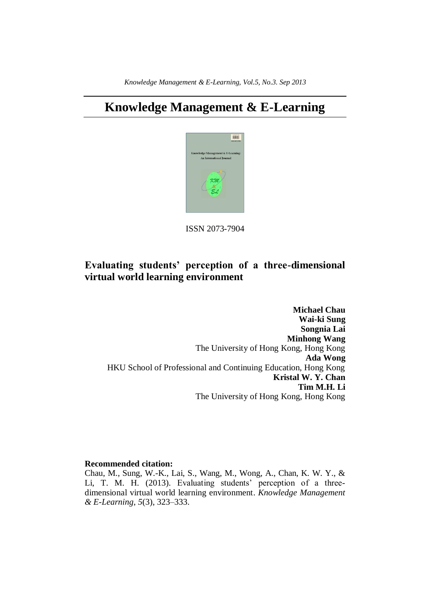# **Knowledge Management & E-Learning**



ISSN 2073-7904

## **Evaluating students' perception of a three-dimensional virtual world learning environment**

**Michael Chau Wai-ki Sung Songnia Lai Minhong Wang** The University of Hong Kong, Hong Kong **Ada Wong** HKU School of Professional and Continuing Education, Hong Kong **Kristal W. Y. Chan Tim M.H. Li** The University of Hong Kong, Hong Kong

#### **Recommended citation:**

Chau, M., Sung, W.-K., Lai, S., Wang, M., Wong, A., Chan, K. W. Y., & Li, T. M. H. (2013). Evaluating students' perception of a threedimensional virtual world learning environment. *Knowledge Management & E-Learning, 5*(3), 323–333.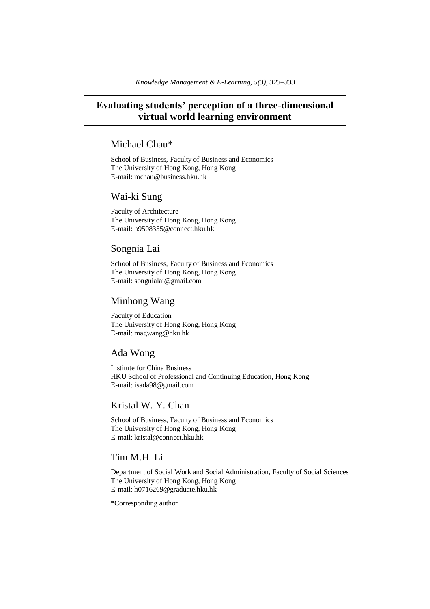## **Evaluating students' perception of a three-dimensional virtual world learning environment**

## Michael Chau\*

School of Business, Faculty of Business and Economics The University of Hong Kong, Hong Kong E-mail: mchau@business.hku.hk

### Wai-ki Sung

Faculty of Architecture The University of Hong Kong, Hong Kong E-mail: h9508355@connect.hku.hk

## Songnia Lai

School of Business, Faculty of Business and Economics The University of Hong Kong, Hong Kong E-mail: songnialai@gmail.com

## Minhong Wang

Faculty of Education The University of Hong Kong, Hong Kong E-mail: magwang@hku.hk

### Ada Wong

Institute for China Business HKU School of Professional and Continuing Education, Hong Kong E-mail: isada98@gmail.com

## Kristal W. Y. Chan

School of Business, Faculty of Business and Economics The University of Hong Kong, Hong Kong E-mail: kristal@connect.hku.hk

## Tim M.H. Li

Department of Social Work and Social Administration, Faculty of Social Sciences The University of Hong Kong, Hong Kong E-mail: h0716269@graduate.hku.hk

\*Corresponding author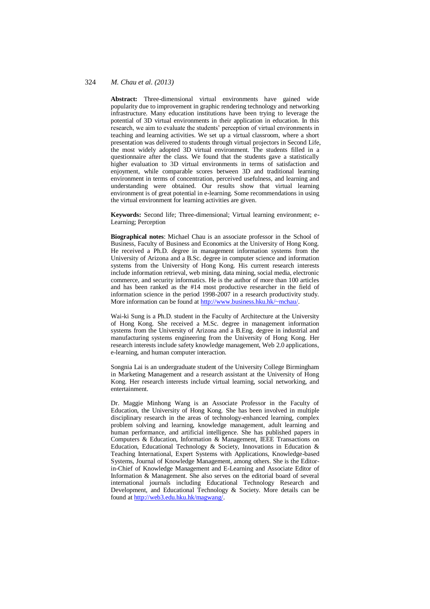**Abstract:** Three-dimensional virtual environments have gained wide popularity due to improvement in graphic rendering technology and networking infrastructure. Many education institutions have been trying to leverage the potential of 3D virtual environments in their application in education. In this research, we aim to evaluate the students' perception of virtual environments in teaching and learning activities. We set up a virtual classroom, where a short presentation was delivered to students through virtual projectors in Second Life, the most widely adopted 3D virtual environment. The students filled in a questionnaire after the class. We found that the students gave a statistically higher evaluation to 3D virtual environments in terms of satisfaction and enjoyment, while comparable scores between 3D and traditional learning environment in terms of concentration, perceived usefulness, and learning and understanding were obtained. Our results show that virtual learning environment is of great potential in e-learning. Some recommendations in using the virtual environment for learning activities are given.

**Keywords:** Second life; Three-dimensional; Virtual learning environment; e-Learning; Perception

**Biographical notes**: Michael Chau is an associate professor in the School of Business, Faculty of Business and Economics at the University of Hong Kong. He received a Ph.D. degree in management information systems from the University of Arizona and a B.Sc. degree in computer science and information systems from the University of Hong Kong. His current research interests include information retrieval, web mining, data mining, social media, electronic commerce, and security informatics. He is the author of more than 100 articles and has been ranked as the #14 most productive researcher in the field of information science in the period 1998-2007 in a research productivity study. More information can be found at [http://www.business.hku.hk/~mchau/.](http://www.business.hku.hk/~mchau/)

Wai-ki Sung is a Ph.D. student in the Faculty of Architecture at the University of Hong Kong. She received a M.Sc. degree in management information systems from the University of Arizona and a B.Eng. degree in industrial and manufacturing systems engineering from the University of Hong Kong. Her research interests include safety knowledge management, Web 2.0 applications, e-learning, and human computer interaction.

Songnia Lai is an undergraduate student of the University College Birmingham in Marketing Management and a research assistant at the University of Hong Kong. Her research interests include virtual learning, social networking, and entertainment.

Dr. Maggie Minhong Wang is an Associate Professor in the Faculty of Education, the University of Hong Kong. She has been involved in multiple disciplinary research in the areas of technology-enhanced learning, complex problem solving and learning, knowledge management, adult learning and human performance, and artificial intelligence. She has published papers in Computers & Education, Information & Management, IEEE Transactions on Education, Educational Technology & Society, Innovations in Education & Teaching International, Expert Systems with Applications, Knowledge-based Systems, Journal of Knowledge Management, among others. She is the Editorin-Chief of Knowledge Management and E-Learning and Associate Editor of Information & Management. She also serves on the editorial board of several international journals including Educational Technology Research and Development, and Educational Technology & Society. More details can be found a[t http://web3.edu.hku.hk/magwang/.](http://web3.edu.hku.hk/magwang/)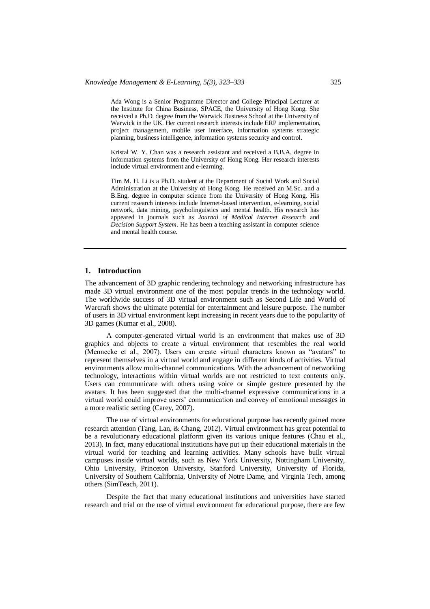Ada Wong is a Senior Programme Director and College Principal Lecturer at the Institute for China Business, SPACE, the University of Hong Kong. She received a Ph.D. degree from the Warwick Business School at the University of Warwick in the UK. Her current research interests include ERP implementation, project management, mobile user interface, information systems strategic planning, business intelligence, information systems security and control.

Kristal W. Y. Chan was a research assistant and received a B.B.A. degree in information systems from the University of Hong Kong. Her research interests include virtual environment and e-learning.

Tim M. H. Li is a Ph.D. student at the Department of Social Work and Social Administration at the University of Hong Kong. He received an M.Sc. and a B.Eng. degree in computer science from the University of Hong Kong. His current research interests include Internet-based intervention, e-learning, social network, data mining, psycholinguistics and mental health. His research has appeared in journals such as *Journal of Medical Internet Research* and *Decision Support System*. He has been a teaching assistant in computer science and mental health course.

#### **1. Introduction**

The advancement of 3D graphic rendering technology and networking infrastructure has made 3D virtual environment one of the most popular trends in the technology world. The worldwide success of 3D virtual environment such as Second Life and World of Warcraft shows the ultimate potential for entertainment and leisure purpose. The number of users in 3D virtual environment kept increasing in recent years due to the popularity of 3D games (Kumar et al., 2008).

A computer-generated virtual world is an environment that makes use of 3D graphics and objects to create a virtual environment that resembles the real world (Mennecke et al., 2007). Users can create virtual characters known as "avatars" to represent themselves in a virtual world and engage in different kinds of activities. Virtual environments allow multi-channel communications. With the advancement of networking technology, interactions within virtual worlds are not restricted to text contents only. Users can communicate with others using voice or simple gesture presented by the avatars. It has been suggested that the multi-channel expressive communications in a virtual world could improve users' communication and convey of emotional messages in a more realistic setting (Carey, 2007).

The use of virtual environments for educational purpose has recently gained more research attention (Tang, Lan, & Chang, 2012). Virtual environment has great potential to be a revolutionary educational platform given its various unique features (Chau et al., 2013). In fact, many educational institutions have put up their educational materials in the virtual world for teaching and learning activities. Many schools have built virtual campuses inside virtual worlds, such as New York University, Nottingham University, Ohio University, Princeton University, Stanford University, University of Florida, University of Southern California, University of Notre Dame, and Virginia Tech, among others (SimTeach, 2011).

Despite the fact that many educational institutions and universities have started research and trial on the use of virtual environment for educational purpose, there are few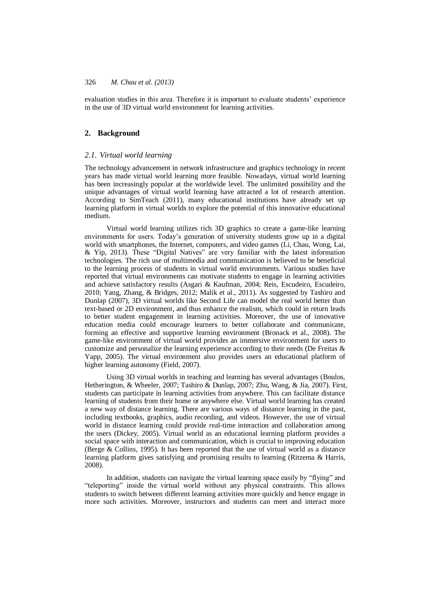evaluation studies in this area. Therefore it is important to evaluate students' experience in the use of 3D virtual world environment for learning activities.

#### **2. Background**

#### *2.1. Virtual world learning*

The technology advancement in network infrastructure and graphics technology in recent years has made virtual world learning more feasible. Nowadays, virtual world learning has been increasingly popular at the worldwide level. The unlimited possibility and the unique advantages of virtual world learning have attracted a lot of research attention. According to SimTeach (2011), many educational institutions have already set up learning platform in virtual worlds to explore the potential of this innovative educational medium.

Virtual world learning utilizes rich 3D graphics to create a game-like learning environments for users. Today's generation of university students grow up in a digital world with smartphones, the Internet, computers, and video games (Li, Chau, Wong, Lai, & Yip, 2013). These "Digital Natives" are very familiar with the latest information technologies. The rich use of multimedia and communication is believed to be beneficial to the learning process of students in virtual world environments. Various studies have reported that virtual environments can motivate students to engage in learning activities and achieve satisfactory results (Asgari & Kaufman, 2004; Reis, Escudeiro, Escudeiro, 2010; Yang, Zhang, & Bridges, 2012; Malik et al., 2011). As suggested by Tashiro and Dunlap (2007), 3D virtual worlds like Second Life can model the real world better than text-based or 2D environment, and thus enhance the realism, which could in return leads to better student engagement in learning activities. Moreover, the use of innovative education media could encourage learners to better collaborate and communicate, forming an effective and supportive learning environment (Bronack et al., 2008). The game-like environment of virtual world provides an immersive environment for users to customize and personalize the learning experience according to their needs (De Freitas  $\&$ Yapp, 2005). The virtual environment also provides users an educational platform of higher learning autonomy (Field, 2007).

Using 3D virtual worlds in teaching and learning has several advantages (Boulos, Hetherington, & Wheeler, 2007; Tashiro & Dunlap, 2007; Zhu, Wang, & Jia, 2007). First, students can participate in learning activities from anywhere. This can facilitate distance learning of students from their home or anywhere else. Virtual world learning has created a new way of distance learning. There are various ways of distance learning in the past, including textbooks, graphics, audio recording, and videos. However, the use of virtual world in distance learning could provide real-time interaction and collaboration among the users (Dickey, 2005). Virtual world as an educational learning platform provides a social space with interaction and communication, which is crucial to improving education (Berge & Collins, 1995). It has been reported that the use of virtual world as a distance learning platform gives satisfying and promising results to learning (Ritzema & Harris, 2008).

In addition, students can navigate the virtual learning space easily by "flying" and "teleporting" inside the virtual world without any physical constraints. This allows students to switch between different learning activities more quickly and hence engage in more such activities. Moreover, instructors and students can meet and interact more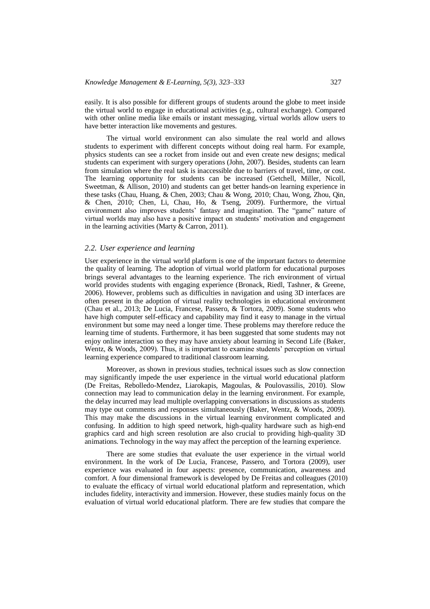easily. It is also possible for different groups of students around the globe to meet inside the virtual world to engage in educational activities (e.g., cultural exchange). Compared with other online media like emails or instant messaging, virtual worlds allow users to have better interaction like movements and gestures.

The virtual world environment can also simulate the real world and allows students to experiment with different concepts without doing real harm. For example, physics students can see a rocket from inside out and even create new designs; medical students can experiment with surgery operations (John, 2007). Besides, students can learn from simulation where the real task is inaccessible due to barriers of travel, time, or cost. The learning opportunity for students can be increased (Getchell, Miller, Nicoll, Sweetman, & Allison, 2010) and students can get better hands-on learning experience in these tasks (Chau, Huang, & Chen, 2003; Chau & Wong, 2010; Chau, Wong, Zhou, Qin, & Chen, 2010; Chen, Li, Chau, Ho, & Tseng, 2009). Furthermore, the virtual environment also improves students' fantasy and imagination. The "game" nature of virtual worlds may also have a positive impact on students' motivation and engagement in the learning activities (Marty & Carron, 2011).

#### *2.2. User experience and learning*

User experience in the virtual world platform is one of the important factors to determine the quality of learning. The adoption of virtual world platform for educational purposes brings several advantages to the learning experience. The rich environment of virtual world provides students with engaging experience (Bronack, Riedl, Tashner, & Greene, 2006). However, problems such as difficulties in navigation and using 3D interfaces are often present in the adoption of virtual reality technologies in educational environment (Chau et al., 2013; De Lucia, Francese, Passero, & Tortora, 2009). Some students who have high computer self-efficacy and capability may find it easy to manage in the virtual environment but some may need a longer time. These problems may therefore reduce the learning time of students. Furthermore, it has been suggested that some students may not enjoy online interaction so they may have anxiety about learning in Second Life (Baker, Wentz, & Woods, 2009). Thus, it is important to examine students' perception on virtual learning experience compared to traditional classroom learning.

Moreover, as shown in previous studies, technical issues such as slow connection may significantly impede the user experience in the virtual world educational platform (De Freitas, Rebolledo-Mendez, Liarokapis, Magoulas, & Poulovassilis, 2010). Slow connection may lead to communication delay in the learning environment. For example, the delay incurred may lead multiple overlapping conversations in discussions as students may type out comments and responses simultaneously (Baker, Wentz, & Woods, 2009). This may make the discussions in the virtual learning environment complicated and confusing. In addition to high speed network, high-quality hardware such as high-end graphics card and high screen resolution are also crucial to providing high-quality 3D animations. Technology in the way may affect the perception of the learning experience.

There are some studies that evaluate the user experience in the virtual world environment. In the work of De Lucia, Francese, Passero, and Tortora (2009), user experience was evaluated in four aspects: presence, communication, awareness and comfort. A four dimensional framework is developed by De Freitas and colleagues (2010) to evaluate the efficacy of virtual world educational platform and representation, which includes fidelity, interactivity and immersion. However, these studies mainly focus on the evaluation of virtual world educational platform. There are few studies that compare the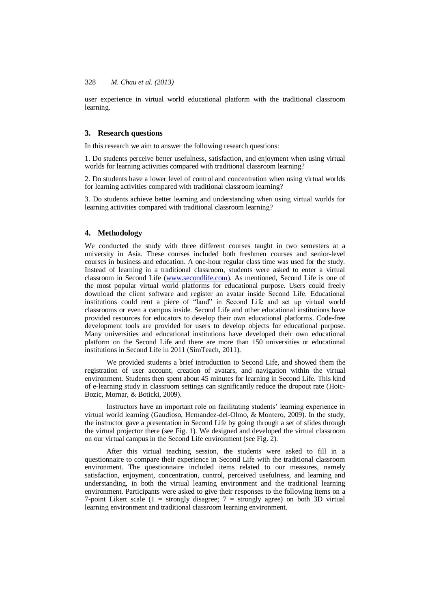user experience in virtual world educational platform with the traditional classroom learning.

#### **3. Research questions**

In this research we aim to answer the following research questions:

1. Do students perceive better usefulness, satisfaction, and enjoyment when using virtual worlds for learning activities compared with traditional classroom learning?

2. Do students have a lower level of control and concentration when using virtual worlds for learning activities compared with traditional classroom learning?

3. Do students achieve better learning and understanding when using virtual worlds for learning activities compared with traditional classroom learning?

#### **4. Methodology**

We conducted the study with three different courses taught in two semesters at a university in Asia. These courses included both freshmen courses and senior-level courses in business and education. A one-hour regular class time was used for the study. Instead of learning in a traditional classroom, students were asked to enter a virtual classroom in Second Life [\(www.secondlife.com\)](http://www.secondlife.com/). As mentioned, Second Life is one of the most popular virtual world platforms for educational purpose. Users could freely download the client software and register an avatar inside Second Life. Educational institutions could rent a piece of "land" in Second Life and set up virtual world classrooms or even a campus inside. Second Life and other educational institutions have provided resources for educators to develop their own educational platforms. Code-free development tools are provided for users to develop objects for educational purpose. Many universities and educational institutions have developed their own educational platform on the Second Life and there are more than 150 universities or educational institutions in Second Life in 2011 (SimTeach, 2011).

We provided students a brief introduction to Second Life, and showed them the registration of user account, creation of avatars, and navigation within the virtual environment. Students then spent about 45 minutes for learning in Second Life. This kind of e-learning study in classroom settings can significantly reduce the dropout rate (Hoic-Bozic, Mornar, & Boticki, 2009).

Instructors have an important role on facilitating students' learning experience in virtual world learning (Gaudioso, Hernandez-del-Olmo, & Montero, 2009). In the study, the instructor gave a presentation in Second Life by going through a set of slides through the virtual projector there (see Fig. 1). We designed and developed the virtual classroom on our virtual campus in the Second Life environment (see Fig. 2).

After this virtual teaching session, the students were asked to fill in a questionnaire to compare their experience in Second Life with the traditional classroom environment. The questionnaire included items related to our measures, namely satisfaction, enjoyment, concentration, control, perceived usefulness, and learning and understanding, in both the virtual learning environment and the traditional learning environment. Participants were asked to give their responses to the following items on a 7-point Likert scale  $(1 =$  strongly disagree;  $7 =$  strongly agree) on both 3D virtual learning environment and traditional classroom learning environment.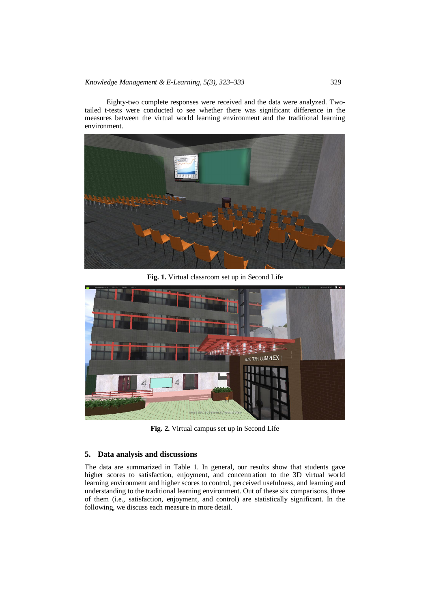Eighty-two complete responses were received and the data were analyzed. Twotailed t-tests were conducted to see whether there was significant difference in the measures between the virtual world learning environment and the traditional learning environment.



**Fig. 1.** Virtual classroom set up in Second Life



**Fig. 2.** Virtual campus set up in Second Life

#### **5. Data analysis and discussions**

The data are summarized in Table 1. In general, our results show that students gave higher scores to satisfaction, enjoyment, and concentration to the 3D virtual world learning environment and higher scores to control, perceived usefulness, and learning and understanding to the traditional learning environment. Out of these six comparisons, three of them (i.e., satisfaction, enjoyment, and control) are statistically significant. In the following, we discuss each measure in more detail.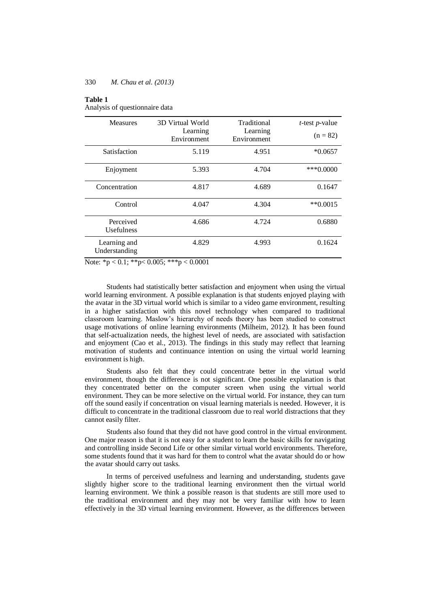#### **Table 1**

Analysis of questionnaire data

| <b>Measures</b>                | 3D Virtual World        | Traditional             | $t$ -test $p$ -value |
|--------------------------------|-------------------------|-------------------------|----------------------|
|                                | Learning<br>Environment | Learning<br>Environment | $(n = 82)$           |
| Satisfaction                   | 5.119                   | 4.951                   | $*0.0657$            |
| Enjoyment                      | 5.393                   | 4.704                   | $***0.0000$          |
| Concentration                  | 4.817                   | 4.689                   | 0.1647               |
| Control                        | 4.047                   | 4.304                   | $**0.0015$           |
| Perceived<br><b>Usefulness</b> | 4.686                   | 4.724                   | 0.6880               |
| Learning and<br>Understanding  | 4.829                   | 4.993                   | 0.1624               |

Note: \*p < 0.1; \*\*p < 0.005; \*\*\*p < 0.0001

Students had statistically better satisfaction and enjoyment when using the virtual world learning environment. A possible explanation is that students enjoyed playing with the avatar in the 3D virtual world which is similar to a video game environment, resulting in a higher satisfaction with this novel technology when compared to traditional classroom learning. Maslow's hierarchy of needs theory has been studied to construct usage motivations of online learning environments (Milheim, 2012). It has been found that self-actualization needs, the highest level of needs, are associated with satisfaction and enjoyment (Cao et al., 2013). The findings in this study may reflect that learning motivation of students and continuance intention on using the virtual world learning environment is high.

Students also felt that they could concentrate better in the virtual world environment, though the difference is not significant. One possible explanation is that they concentrated better on the computer screen when using the virtual world environment. They can be more selective on the virtual world. For instance, they can turn off the sound easily if concentration on visual learning materials is needed. However, it is difficult to concentrate in the traditional classroom due to real world distractions that they cannot easily filter.

Students also found that they did not have good control in the virtual environment. One major reason is that it is not easy for a student to learn the basic skills for navigating and controlling inside Second Life or other similar virtual world environments. Therefore, some students found that it was hard for them to control what the avatar should do or how the avatar should carry out tasks.

In terms of perceived usefulness and learning and understanding, students gave slightly higher score to the traditional learning environment then the virtual world learning environment. We think a possible reason is that students are still more used to the traditional environment and they may not be very familiar with how to learn effectively in the 3D virtual learning environment. However, as the differences between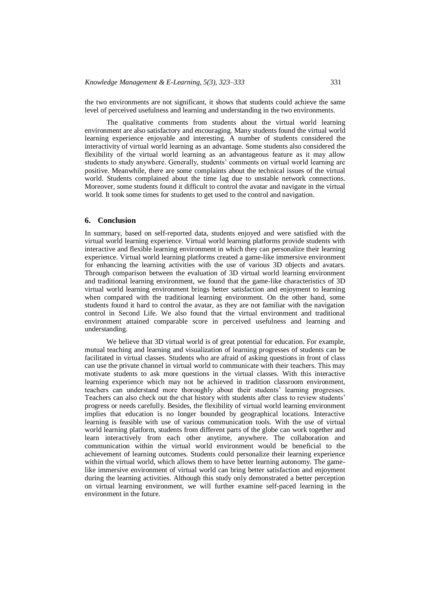the two environments are not significant, it shows that students could achieve the same level of perceived usefulness and learning and understanding in the two environments.

The qualitative comments from students about the virtual world learning environment are also satisfactory and encouraging. Many students found the virtual world learning experience enjoyable and interesting. A number of students considered the interactivity of virtual world learning as an advantage. Some students also considered the flexibility of the virtual world learning as an advantageous feature as it may allow students to study anywhere. Generally, students' comments on virtual world learning are positive. Meanwhile, there are some complaints about the technical issues of the virtual world. Students complained about the time lag due to unstable network connections. Moreover, some students found it difficult to control the avatar and navigate in the virtual world. It took some times for students to get used to the control and navigation.

#### **6. Conclusion**

In summary, based on self-reported data, students enjoyed and were satisfied with the virtual world learning experience. Virtual world learning platforms provide students with interactive and flexible learning environment in which they can personalize their learning experience. Virtual world learning platforms created a game-like immersive environment for enhancing the learning activities with the use of various 3D objects and avatars. Through comparison between the evaluation of 3D virtual world learning environment and traditional learning environment, we found that the game-like characteristics of 3D virtual world learning environment brings better satisfaction and enjoyment to learning when compared with the traditional learning environment. On the other hand, some students found it hard to control the avatar, as they are not familiar with the navigation control in Second Life. We also found that the virtual environment and traditional environment attained comparable score in perceived usefulness and learning and understanding.

We believe that 3D virtual world is of great potential for education. For example, mutual teaching and learning and visualization of learning progresses of students can be facilitated in virtual classes. Students who are afraid of asking questions in front of class can use the private channel in virtual world to communicate with their teachers. This may motivate students to ask more questions in the virtual classes. With this interactive learning experience which may not be achieved in tradition classroom environment, teachers can understand more thoroughly about their students' learning progresses. Teachers can also check out the chat history with students after class to review students' progress or needs carefully. Besides, the flexibility of virtual world learning environment implies that education is no longer bounded by geographical locations. Interactive learning is feasible with use of various communication tools. With the use of virtual world learning platform, students from different parts of the globe can work together and learn interactively from each other anytime, anywhere. The collaboration and communication within the virtual world environment would be beneficial to the achievement of learning outcomes. Students could personalize their learning experience within the virtual world, which allows them to have better learning autonomy. The gamelike immersive environment of virtual world can bring better satisfaction and enjoyment during the learning activities. Although this study only demonstrated a better perception on virtual learning environment, we will further examine self-paced learning in the environment in the future.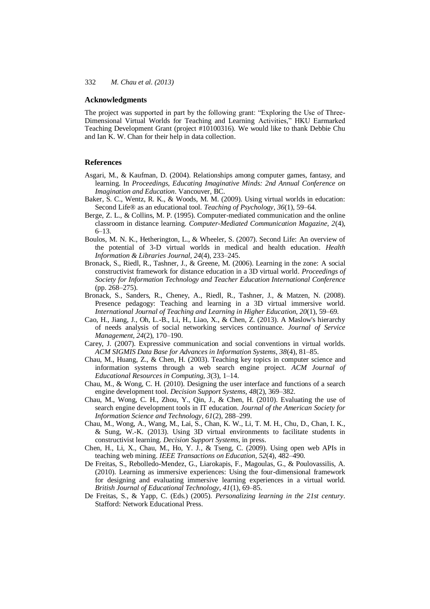#### **Acknowledgments**

The project was supported in part by the following grant: "Exploring the Use of Three-Dimensional Virtual Worlds for Teaching and Learning Activities," HKU Earmarked Teaching Development Grant (project #10100316). We would like to thank Debbie Chu and Ian K. W. Chan for their help in data collection.

#### **References**

- Asgari, M., & Kaufman, D. (2004). Relationships among computer games, fantasy, and learning. In *Proceedings, Educating Imaginative Minds: 2nd Annual Conference on Imagination and Education*. Vancouver, BC.
- Baker, S. C., Wentz, R. K., & Woods, M. M. (2009). Using virtual worlds in education: Second Life® as an educational tool. *Teaching of Psychology, 36*(1), 59–64.
- Berge, Z. L., & Collins, M. P. (1995). Computer-mediated communication and the online classroom in distance learning. *Computer-Mediated Communication Magazine, 2*(4), 6–13.
- Boulos, M. N. K., Hetherington, L., & Wheeler, S. (2007). Second Life: An overview of the potential of 3-D virtual worlds in medical and health education. *Health Information & Libraries Journal, 24*(4), 233–245.
- Bronack, S., Riedl, R., Tashner, J., & Greene, M. (2006). Learning in the zone: A social constructivist framework for distance education in a 3D virtual world. *Proceedings of Society for Information Technology and Teacher Education International Conference* (pp. 268–275).
- Bronack, S., Sanders, R., Cheney, A., Riedl, R., Tashner, J., & Matzen, N. (2008). Presence pedagogy: Teaching and learning in a 3D virtual immersive world. *International Journal of Teaching and Learning in Higher Education, 20*(1), 59–69.
- Cao, H., Jiang, J., Oh, L.-B., Li, H., Liao, X., & Chen, Z. (2013). A Maslow's hierarchy of needs analysis of social networking services continuance. *Journal of Service Management, 24*(2), 170–190.
- Carey, J. (2007). Expressive communication and social conventions in virtual worlds. *ACM SIGMIS Data Base for Advances in Information Systems, 38*(4), 81–85.
- Chau, M., Huang, Z., & Chen, H. (2003). Teaching key topics in computer science and information systems through a web search engine project. *ACM Journal of Educational Resources in Computing, 3*(3), 1–14.
- Chau, M., & Wong, C. H. (2010). Designing the user interface and functions of a search engine development tool. *Decision Support Systems, 48*(2), 369–382.
- Chau, M., Wong, C. H., Zhou, Y., Qin, J., & Chen, H. (2010). Evaluating the use of search engine development tools in IT education. *Journal of the American Society for Information Science and Technology, 61*(2), 288–299.
- Chau, M., Wong, A., Wang, M., Lai, S., Chan, K. W., Li, T. M. H., Chu, D., Chan, I. K., & Sung, W.-K. (2013). Using 3D virtual environments to facilitate students in constructivist learning. *Decision Support Systems*, in press.
- Chen, H., Li, X., Chau, M., Ho, Y. J., & Tseng, C. (2009). Using open web APIs in teaching web mining. *IEEE Transactions on Education, 52*(4), 482–490.
- De Freitas, S., Rebolledo-Mendez, G., Liarokapis, F., Magoulas, G., & Poulovassilis, A. (2010). Learning as immersive experiences: Using the four-dimensional framework for designing and evaluating immersive learning experiences in a virtual world. *British Journal of Educational Technology, 41*(1), 69–85.
- De Freitas, S., & Yapp, C. (Eds.) (2005). *Personalizing learning in the 21st century*. Stafford: Network Educational Press.